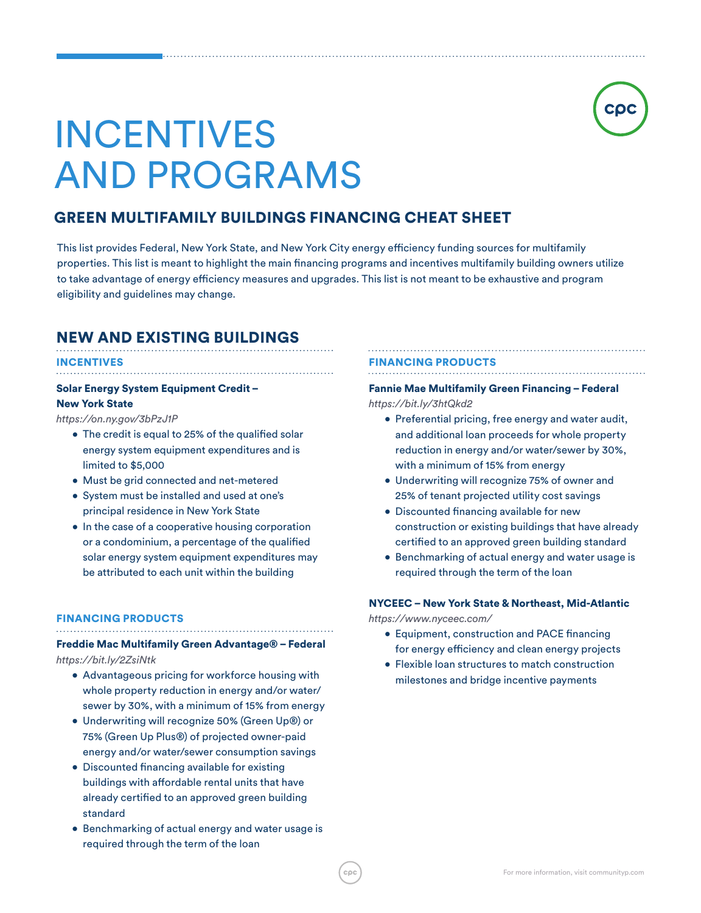# INCENTIVES AND PROGRAMS

# GREEN MULTIFAMILY BUILDINGS FINANCING CHEAT SHEET

This list provides Federal, New York State, and New York City energy efficiency funding sources for multifamily properties. This list is meant to highlight the main financing programs and incentives multifamily building owners utilize to take advantage of energy efficiency measures and upgrades. This list is not meant to be exhaustive and program eligibility and guidelines may change.

# NEW AND EXISTING BUILDINGS

#### INCENTIVES . . . . . . . . . . . . .

# Solar Energy System Equipment Credit – New York State

*https://on.ny.gov/3bPzJ1P*

- The credit is equal to 25% of the qualified solar energy system equipment expenditures and is limited to \$5,000
- Must be grid connected and net-metered
- System must be installed and used at one's principal residence in New York State
- In the case of a cooperative housing corporation or a condominium, a percentage of the qualified solar energy system equipment expenditures may be attributed to each unit within the building

#### FINANCING PRODUCTS

## Freddie Mac Multifamily Green Advantage® – Federal *https://bit.ly/2ZsiNtk*

- Advantageous pricing for workforce housing with whole property reduction in energy and/or water/ sewer by 30%, with a minimum of 15% from energy
- Underwriting will recognize 50% (Green Up®) or 75% (Green Up Plus®) of projected owner-paid energy and/or water/sewer consumption savings
- Discounted financing available for existing buildings with affordable rental units that have already certified to an approved green building standard
- Benchmarking of actual energy and water usage is required through the term of the loan

#### FINANCING PRODUCTS

## Fannie Mae Multifamily Green Financing – Federal

*https://bit.ly/3htQkd2*

- Preferential pricing, free energy and water audit, and additional loan proceeds for whole property reduction in energy and/or water/sewer by 30%, with a minimum of 15% from energy
- Underwriting will recognize 75% of owner and 25% of tenant projected utility cost savings
- Discounted financing available for new construction or existing buildings that have already certified to an approved green building standard
- Benchmarking of actual energy and water usage is required through the term of the loan

#### NYCEEC – New York State & Northeast, Mid-Atlantic

*https://www.nyceec.com/*

- Equipment, construction and PACE financing for energy efficiency and clean energy projects
- Flexible loan structures to match construction milestones and bridge incentive payments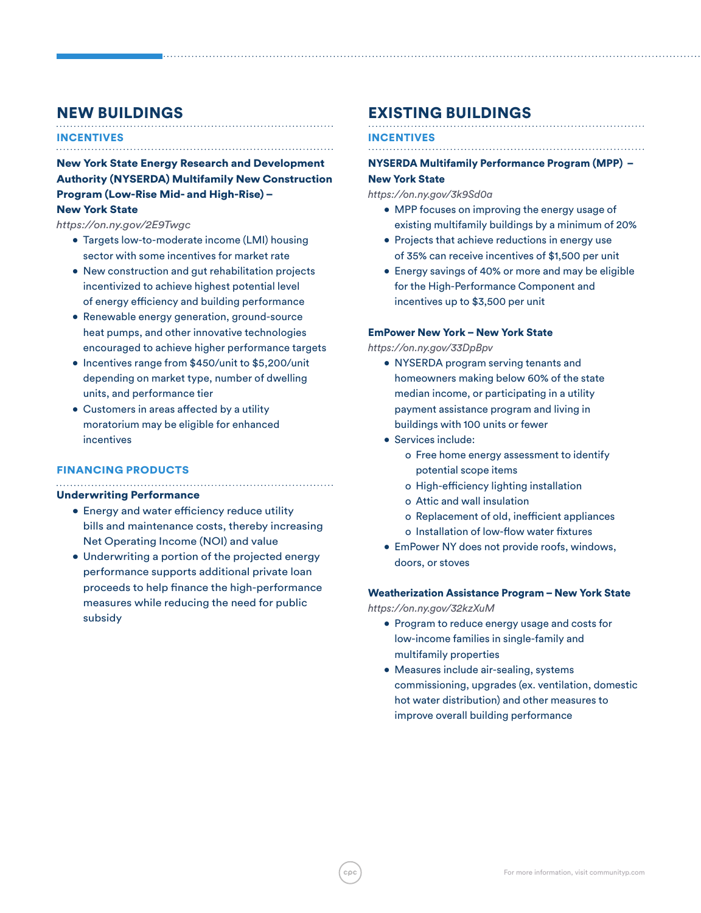# NEW BUILDINGS

#### INCENTIVES

New York State Energy Research and Development Authority (NYSERDA) Multifamily New Construction Program (Low-Rise Mid- and High-Rise) – New York State

*https://on.ny.gov/2E9Twgc*

- Targets low-to-moderate income (LMI) housing sector with some incentives for market rate
- New construction and gut rehabilitation projects incentivized to achieve highest potential level of energy efficiency and building performance
- Renewable energy generation, ground-source heat pumps, and other innovative technologies encouraged to achieve higher performance targets
- Incentives range from \$450/unit to \$5,200/unit depending on market type, number of dwelling units, and performance tier
- Customers in areas affected by a utility moratorium may be eligible for enhanced incentives

#### FINANCING PRODUCTS

#### Underwriting Performance

- Energy and water efficiency reduce utility bills and maintenance costs, thereby increasing Net Operating Income (NOI) and value
- Underwriting a portion of the projected energy performance supports additional private loan proceeds to help finance the high-performance measures while reducing the need for public subsidy

# EXISTING BUILDINGS

## INCENTIVES

NYSERDA Multifamily Performance Program (MPP) –

#### New York State

*https://on.ny.gov/3k9Sd0a*

- MPP focuses on improving the energy usage of existing multifamily buildings by a minimum of 20%
- Projects that achieve reductions in energy use of 35% can receive incentives of \$1,500 per unit
- Energy savings of 40% or more and may be eligible for the High-Performance Component and incentives up to \$3,500 per unit

#### EmPower New York – New York State

*https://on.ny.gov/33DpBpv*

- NYSERDA program serving tenants and homeowners making below 60% of the state median income, or participating in a utility payment assistance program and living in buildings with 100 units or fewer
- Services include:
	- o Free home energy assessment to identify potential scope items
	- o High-efficiency lighting installation
	- o Attic and wall insulation
	- o Replacement of old, inefficient appliances o Installation of low-flow water fixtures
	-
- EmPower NY does not provide roofs, windows, doors, or stoves

#### Weatherization Assistance Program – New York State

*https://on.ny.gov/32kzXuM*

- Program to reduce energy usage and costs for low-income families in single-family and multifamily properties
- Measures include air-sealing, systems commissioning, upgrades (ex. ventilation, domestic hot water distribution) and other measures to improve overall building performance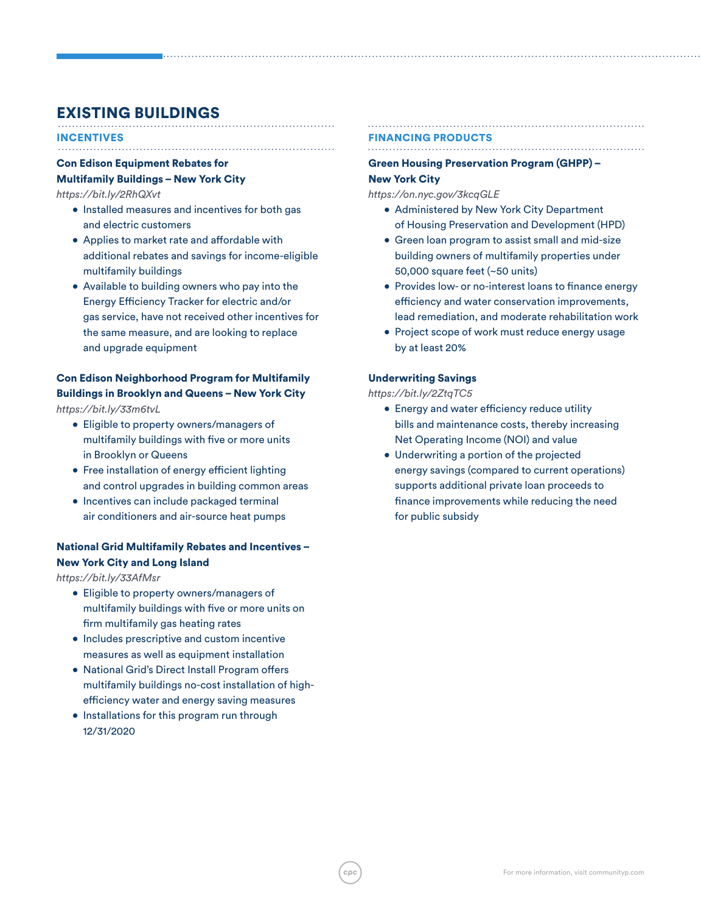# EXISTING BUILDINGS

#### INCENTIVES

# Con Edison Equipment Rebates for Multifamily Buildings – New York City

*https://bit.ly/2RhQXvt*

- Installed measures and incentives for both gas and electric customers
- Applies to market rate and affordable with additional rebates and savings for income-eligible multifamily buildings
- Available to building owners who pay into the Energy Efficiency Tracker for electric and/or gas service, have not received other incentives for the same measure, and are looking to replace and upgrade equipment

# Con Edison Neighborhood Program for Multifamily Buildings in Brooklyn and Queens – New York City

*https://bit.ly/33m6tvL* 

- Eligible to property owners/managers of multifamily buildings with five or more units in Brooklyn or Queens
- Free installation of energy efficient lighting and control upgrades in building common areas
- Incentives can include packaged terminal air conditioners and air-source heat pumps

## National Grid Multifamily Rebates and Incentives – New York City and Long Island

*https://bit.ly/33AfMsr*

- Eligible to property owners/managers of multifamily buildings with five or more units on firm multifamily gas heating rates
- Includes prescriptive and custom incentive measures as well as equipment installation
- National Grid's Direct Install Program offers multifamily buildings no-cost installation of highefficiency water and energy saving measures
- Installations for this program run through 12/31/2020

#### FINANCING PRODUCTS

# Green Housing Preservation Program (GHPP) –

#### New York City

*https://on.nyc.gov/3kcqGLE*

- Administered by New York City Department of Housing Preservation and Development (HPD)
- Green loan program to assist small and mid-size building owners of multifamily properties under 50,000 square feet (~50 units)
- Provides low- or no-interest loans to finance energy efficiency and water conservation improvements, lead remediation, and moderate rehabilitation work
- Project scope of work must reduce energy usage by at least 20%

#### Underwriting Savings

*https://bit.ly/2ZtqTC5* 

- Energy and water efficiency reduce utility bills and maintenance costs, thereby increasing Net Operating Income (NOI) and value
- Underwriting a portion of the projected energy savings (compared to current operations) supports additional private loan proceeds to finance improvements while reducing the need for public subsidy